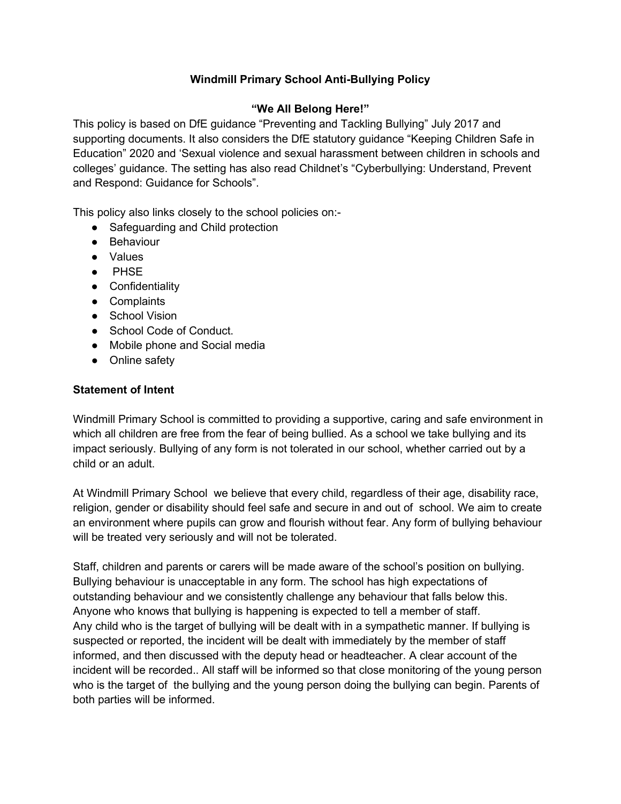## **Windmill Primary School Anti-Bullying Policy**

## **"We All Belong Here!"**

This policy is based on DfE guidance "Preventing and Tackling Bullying" July 2017 and supporting documents. It also considers the DfE statutory guidance "Keeping Children Safe in Education" 2020 and 'Sexual violence and sexual harassment between children in schools and colleges' guidance. The setting has also read Childnet's "Cyberbullying: Understand, Prevent and Respond: Guidance for Schools".

This policy also links closely to the school policies on:-

- Safeguarding and Child protection
- Behaviour
- Values
- PHSE
- Confidentiality
- Complaints
- School Vision
- School Code of Conduct.
- Mobile phone and Social media
- Online safety

#### **Statement of Intent**

Windmill Primary School is committed to providing a supportive, caring and safe environment in which all children are free from the fear of being bullied. As a school we take bullying and its impact seriously. Bullying of any form is not tolerated in our school, whether carried out by a child or an adult.

At Windmill Primary School we believe that every child, regardless of their age, disability race, religion, gender or disability should feel safe and secure in and out of school. We aim to create an environment where pupils can grow and flourish without fear. Any form of bullying behaviour will be treated very seriously and will not be tolerated.

Staff, children and parents or carers will be made aware of the school's position on bullying. Bullying behaviour is unacceptable in any form. The school has high expectations of outstanding behaviour and we consistently challenge any behaviour that falls below this. Anyone who knows that bullying is happening is expected to tell a member of staff. Any child who is the target of bullying will be dealt with in a sympathetic manner. If bullying is suspected or reported, the incident will be dealt with immediately by the member of staff informed, and then discussed with the deputy head or headteacher. A clear account of the incident will be recorded.. All staff will be informed so that close monitoring of the young person who is the target of the bullying and the young person doing the bullying can begin. Parents of both parties will be informed.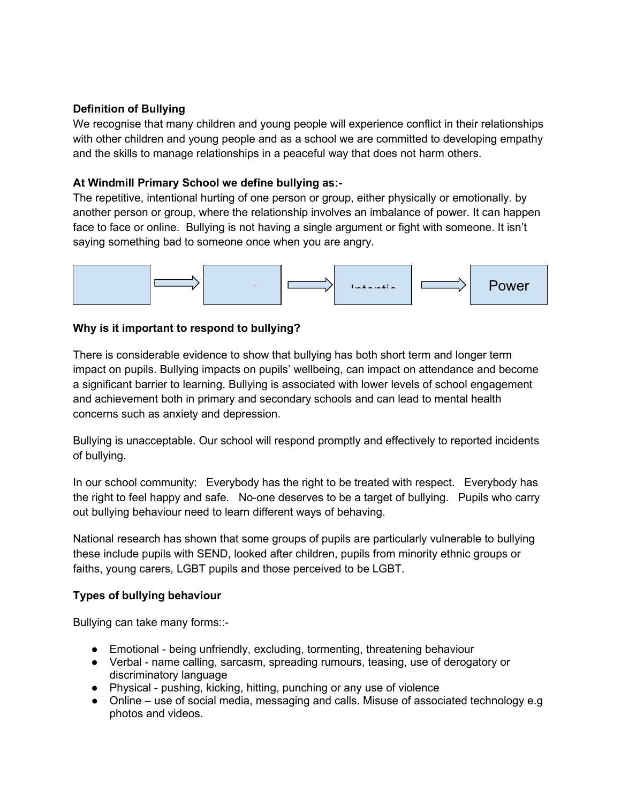## **Definition of Bullying**

We recognise that many children and young people will experience conflict in their relationships with other children and young people and as a school we are committed to developing empathy and the skills to manage relationships in a peaceful way that does not harm others.

#### **At Windmill Primary School we define bullying as:-**

The repetitive, intentional hurting of one person or group, either physically or emotionally. by another person or group, where the relationship involves an imbalance of power. It can happen face to face or online. Bullying is not having a single argument or fight with someone. It isn't saying something bad to someone once when you are angry.



#### **Why is it important to respond to bullying?**

There is considerable evidence to show that bullying has both short term and longer term impact on pupils. Bullying impacts on pupils' wellbeing, can impact on attendance and become a significant barrier to learning. Bullying is associated with lower levels of school engagement and achievement both in primary and secondary schools and can lead to mental health concerns such as anxiety and depression.

Bullying is unacceptable. Our school will respond promptly and effectively to reported incidents of bullying.

In our school community: Everybody has the right to be treated with respect. Everybody has the right to feel happy and safe. No-one deserves to be a target of bullying. Pupils who carry out bullying behaviour need to learn different ways of behaving.

National research has shown that some groups of pupils are particularly vulnerable to bullying these include pupils with SEND, looked after children, pupils from minority ethnic groups or faiths, young carers, LGBT pupils and those perceived to be LGBT.

#### **Types of bullying behaviour**

Bullying can take many forms::-

- Emotional being unfriendly, excluding, tormenting, threatening behaviour
- Verbal name calling, sarcasm, spreading rumours, teasing, use of derogatory or discriminatory language
- Physical pushing, kicking, hitting, punching or any use of violence
- Online use of social media, messaging and calls. Misuse of associated technology e.g photos and videos.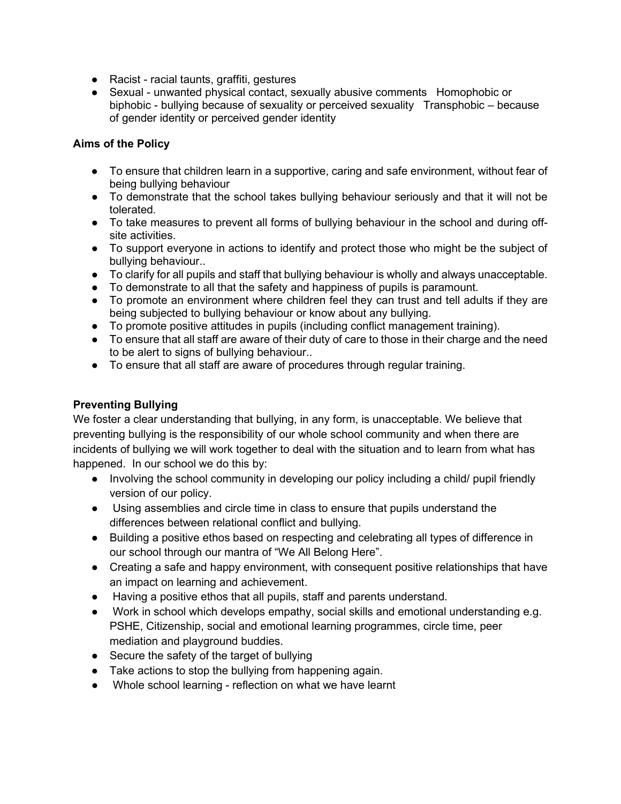- Racist racial taunts, graffiti, gestures
- Sexual unwanted physical contact, sexually abusive comments Homophobic or biphobic - bullying because of sexuality or perceived sexuality Transphobic – because of gender identity or perceived gender identity

#### **Aims of the Policy**

- To ensure that children learn in a supportive, caring and safe environment, without fear of being bullying behaviour
- To demonstrate that the school takes bullying behaviour seriously and that it will not be tolerated.
- To take measures to prevent all forms of bullying behaviour in the school and during offsite activities.
- To support everyone in actions to identify and protect those who might be the subject of bullying behaviour..
- To clarify for all pupils and staff that bullying behaviour is wholly and always unacceptable.
- To demonstrate to all that the safety and happiness of pupils is paramount.
- To promote an environment where children feel they can trust and tell adults if they are being subjected to bullying behaviour or know about any bullying.
- To promote positive attitudes in pupils (including conflict management training).
- To ensure that all staff are aware of their duty of care to those in their charge and the need to be alert to signs of bullying behaviour..
- To ensure that all staff are aware of procedures through regular training.

## **Preventing Bullying**

We foster a clear understanding that bullying, in any form, is unacceptable. We believe that preventing bullying is the responsibility of our whole school community and when there are incidents of bullying we will work together to deal with the situation and to learn from what has happened. In our school we do this by:

- Involving the school community in developing our policy including a child/ pupil friendly version of our policy.
- Using assemblies and circle time in class to ensure that pupils understand the differences between relational conflict and bullying.
- Building a positive ethos based on respecting and celebrating all types of difference in our school through our mantra of "We All Belong Here".
- Creating a safe and happy environment, with consequent positive relationships that have an impact on learning and achievement.
- Having a positive ethos that all pupils, staff and parents understand.
- Work in school which develops empathy, social skills and emotional understanding e.g. PSHE, Citizenship, social and emotional learning programmes, circle time, peer mediation and playground buddies.
- Secure the safety of the target of bullying
- Take actions to stop the bullying from happening again.
- Whole school learning reflection on what we have learnt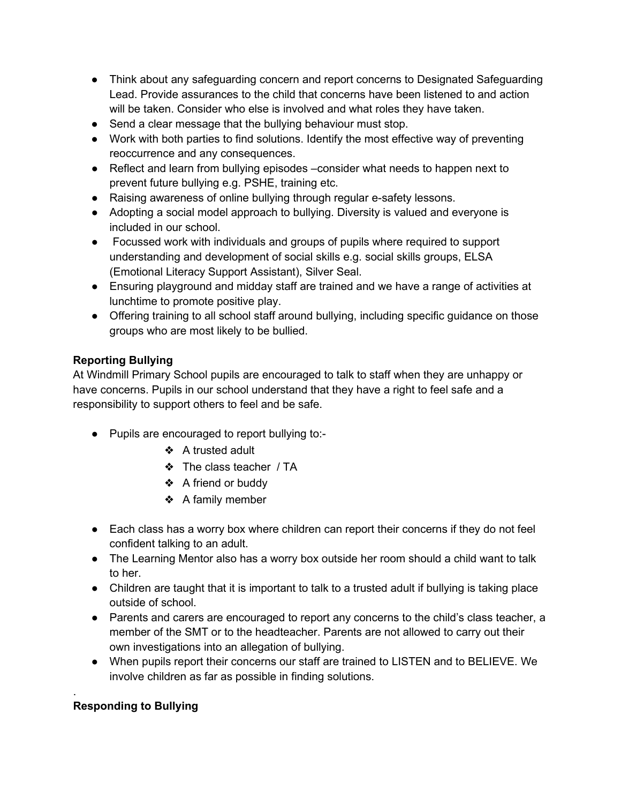- Think about any safeguarding concern and report concerns to Designated Safeguarding Lead. Provide assurances to the child that concerns have been listened to and action will be taken. Consider who else is involved and what roles they have taken.
- Send a clear message that the bullying behaviour must stop.
- Work with both parties to find solutions. Identify the most effective way of preventing reoccurrence and any consequences.
- Reflect and learn from bullying episodes –consider what needs to happen next to prevent future bullying e.g. PSHE, training etc.
- Raising awareness of online bullying through regular e-safety lessons.
- Adopting a social model approach to bullying. Diversity is valued and everyone is included in our school.
- Focussed work with individuals and groups of pupils where required to support understanding and development of social skills e.g. social skills groups, ELSA (Emotional Literacy Support Assistant), Silver Seal.
- Ensuring playground and midday staff are trained and we have a range of activities at lunchtime to promote positive play.
- Offering training to all school staff around bullying, including specific guidance on those groups who are most likely to be bullied.

## **Reporting Bullying**

At Windmill Primary School pupils are encouraged to talk to staff when they are unhappy or have concerns. Pupils in our school understand that they have a right to feel safe and a responsibility to support others to feel and be safe.

- Pupils are encouraged to report bullying to:-
	- ❖ A trusted adult
	- ❖ The class teacher / TA
	- ❖ A friend or buddy
	- ❖ A family member
- Each class has a worry box where children can report their concerns if they do not feel confident talking to an adult.
- The Learning Mentor also has a worry box outside her room should a child want to talk to her.
- Children are taught that it is important to talk to a trusted adult if bullying is taking place outside of school.
- Parents and carers are encouraged to report any concerns to the child's class teacher, a member of the SMT or to the headteacher. Parents are not allowed to carry out their own investigations into an allegation of bullying.
- When pupils report their concerns our staff are trained to LISTEN and to BELIEVE. We involve children as far as possible in finding solutions.

## **Responding to Bullying**

.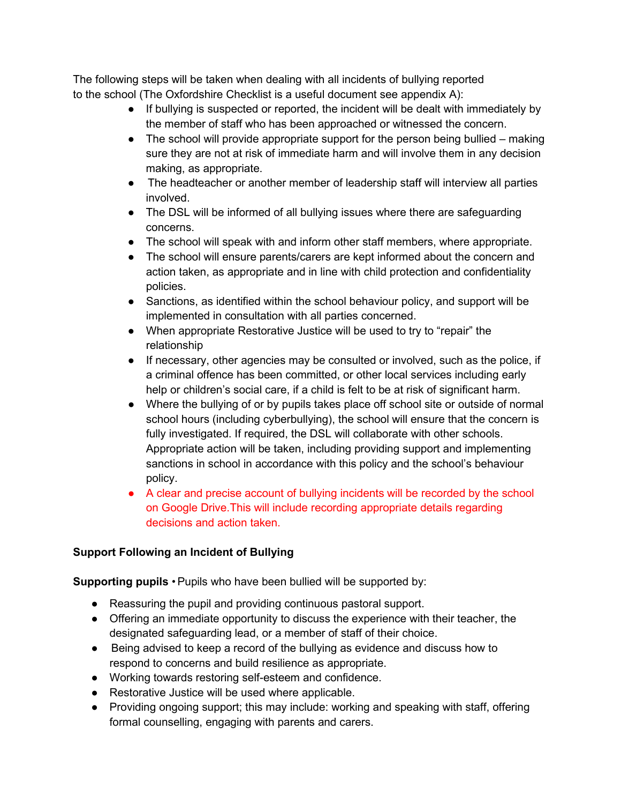The following steps will be taken when dealing with all incidents of bullying reported to the school (The Oxfordshire Checklist is a useful document see appendix A):

- If bullying is suspected or reported, the incident will be dealt with immediately by the member of staff who has been approached or witnessed the concern.
- The school will provide appropriate support for the person being bullied making sure they are not at risk of immediate harm and will involve them in any decision making, as appropriate.
- The headteacher or another member of leadership staff will interview all parties involved.
- The DSL will be informed of all bullying issues where there are safeguarding concerns.
- The school will speak with and inform other staff members, where appropriate.
- The school will ensure parents/carers are kept informed about the concern and action taken, as appropriate and in line with child protection and confidentiality policies.
- Sanctions, as identified within the school behaviour policy, and support will be implemented in consultation with all parties concerned.
- When appropriate Restorative Justice will be used to try to "repair" the relationship
- If necessary, other agencies may be consulted or involved, such as the police, if a criminal offence has been committed, or other local services including early help or children's social care, if a child is felt to be at risk of significant harm.
- Where the bullying of or by pupils takes place off school site or outside of normal school hours (including cyberbullying), the school will ensure that the concern is fully investigated. If required, the DSL will collaborate with other schools. Appropriate action will be taken, including providing support and implementing sanctions in school in accordance with this policy and the school's behaviour policy.
- A clear and precise account of bullying incidents will be recorded by the school on Google Drive.This will include recording appropriate details regarding decisions and action taken.

## **Support Following an Incident of Bullying**

**Supporting pupils • Pupils who have been bullied will be supported by:** 

- Reassuring the pupil and providing continuous pastoral support.
- Offering an immediate opportunity to discuss the experience with their teacher, the designated safeguarding lead, or a member of staff of their choice.
- Being advised to keep a record of the bullying as evidence and discuss how to respond to concerns and build resilience as appropriate.
- Working towards restoring self-esteem and confidence.
- Restorative Justice will be used where applicable.
- Providing ongoing support; this may include: working and speaking with staff, offering formal counselling, engaging with parents and carers.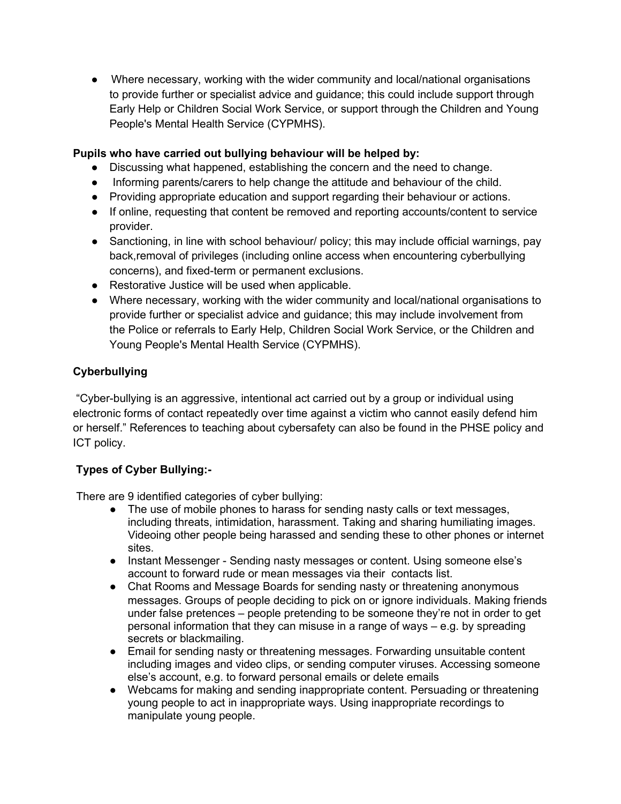● Where necessary, working with the wider community and local/national organisations to provide further or specialist advice and guidance; this could include support through Early Help or Children Social Work Service, or support through the Children and Young People's Mental Health Service (CYPMHS).

## **Pupils who have carried out bullying behaviour will be helped by:**

- Discussing what happened, establishing the concern and the need to change.
- Informing parents/carers to help change the attitude and behaviour of the child.
- Providing appropriate education and support regarding their behaviour or actions.
- If online, requesting that content be removed and reporting accounts/content to service provider.
- Sanctioning, in line with school behaviour/ policy; this may include official warnings, pay back,removal of privileges (including online access when encountering cyberbullying concerns), and fixed-term or permanent exclusions.
- Restorative Justice will be used when applicable.
- Where necessary, working with the wider community and local/national organisations to provide further or specialist advice and guidance; this may include involvement from the Police or referrals to Early Help, Children Social Work Service, or the Children and Young People's Mental Health Service (CYPMHS).

## **Cyberbullying**

"Cyber-bullying is an aggressive, intentional act carried out by a group or individual using electronic forms of contact repeatedly over time against a victim who cannot easily defend him or herself." References to teaching about cybersafety can also be found in the PHSE policy and ICT policy.

## **Types of Cyber Bullying:-**

There are 9 identified categories of cyber bullying:

- The use of mobile phones to harass for sending nasty calls or text messages, including threats, intimidation, harassment. Taking and sharing humiliating images. Videoing other people being harassed and sending these to other phones or internet sites.
- Instant Messenger Sending nasty messages or content. Using someone else's account to forward rude or mean messages via their contacts list.
- Chat Rooms and Message Boards for sending nasty or threatening anonymous messages. Groups of people deciding to pick on or ignore individuals. Making friends under false pretences – people pretending to be someone they're not in order to get personal information that they can misuse in a range of ways – e.g. by spreading secrets or blackmailing.
- Email for sending nasty or threatening messages. Forwarding unsuitable content including images and video clips, or sending computer viruses. Accessing someone else's account, e.g. to forward personal emails or delete emails
- Webcams for making and sending inappropriate content. Persuading or threatening young people to act in inappropriate ways. Using inappropriate recordings to manipulate young people.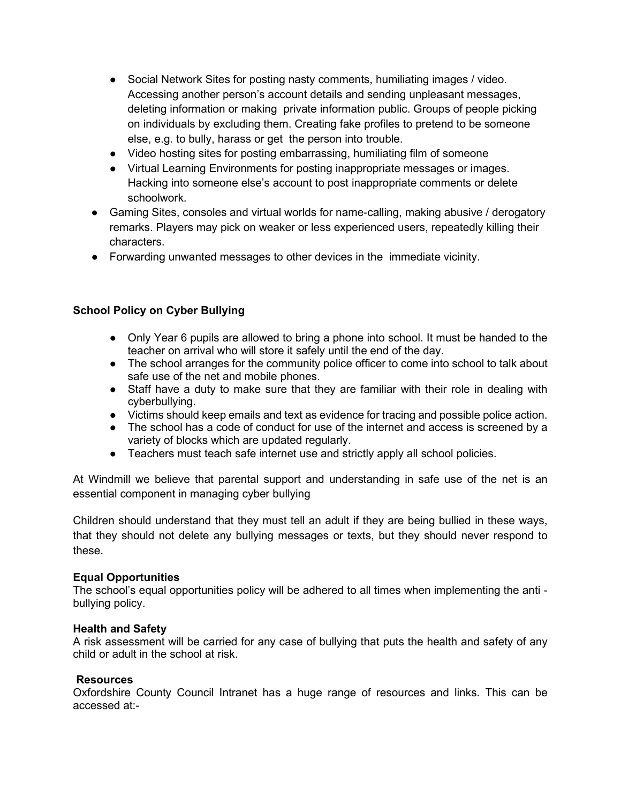- Social Network Sites for posting nasty comments, humiliating images / video. Accessing another person's account details and sending unpleasant messages, deleting information or making private information public. Groups of people picking on individuals by excluding them. Creating fake profiles to pretend to be someone else, e.g. to bully, harass or get the person into trouble.
- Video hosting sites for posting embarrassing, humiliating film of someone
- Virtual Learning Environments for posting inappropriate messages or images. Hacking into someone else's account to post inappropriate comments or delete schoolwork.
- Gaming Sites, consoles and virtual worlds for name-calling, making abusive / derogatory remarks. Players may pick on weaker or less experienced users, repeatedly killing their characters.
- Forwarding unwanted messages to other devices in the immediate vicinity.

## **School Policy on Cyber Bullying**

- Only Year 6 pupils are allowed to bring a phone into school. It must be handed to the teacher on arrival who will store it safely until the end of the day.
- The school arranges for the community police officer to come into school to talk about safe use of the net and mobile phones.
- Staff have a duty to make sure that they are familiar with their role in dealing with cyberbullying.
- Victims should keep emails and text as evidence for tracing and possible police action.
- The school has a code of conduct for use of the internet and access is screened by a variety of blocks which are updated regularly.
- Teachers must teach safe internet use and strictly apply all school policies.

At Windmill we believe that parental support and understanding in safe use of the net is an essential component in managing cyber bullying

Children should understand that they must tell an adult if they are being bullied in these ways, that they should not delete any bullying messages or texts, but they should never respond to these.

#### **Equal Opportunities**

The school's equal opportunities policy will be adhered to all times when implementing the anti bullying policy.

#### **Health and Safety**

A risk assessment will be carried for any case of bullying that puts the health and safety of any child or adult in the school at risk.

#### **Resources**

Oxfordshire County Council Intranet has a huge range of resources and links. This can be accessed at:-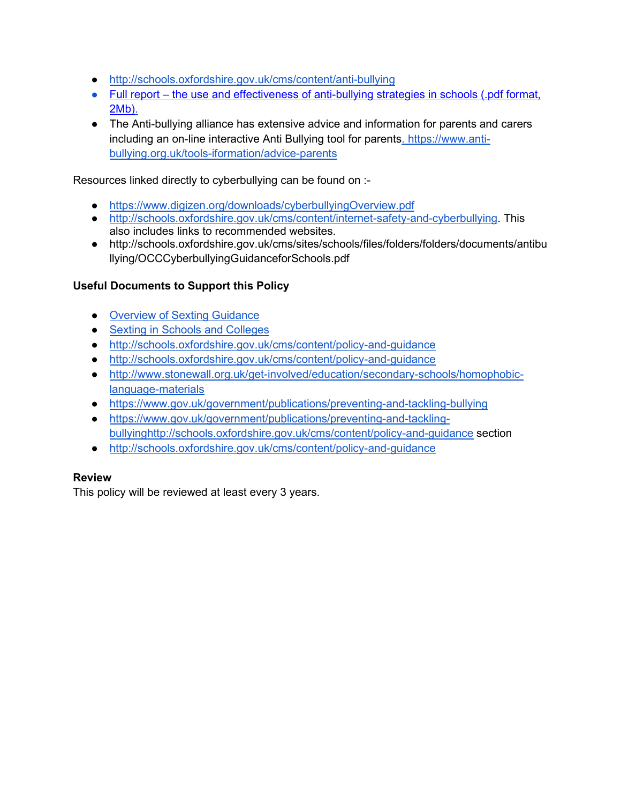- <http://schools.oxfordshire.gov.uk/cms/content/anti-bullying>
- Full report the use and effectiveness of anti-bullying strategies in schools (.pdf format, [2Mb\).](https://www.education.gov.uk/publications/eOrderingDownload/DFE-RR098.pdf)
- The Anti-bullying alliance has extensive advice and information for parents and carers including an on-line interactive Anti Bullying tool for parents. [https://www.anti](https://www.anti-bullying.org.uk/tools-iformation/advice-parents)[bullying.org.uk/tools-iformation/advice-parents](https://www.anti-bullying.org.uk/tools-iformation/advice-parents)

Resources linked directly to cyberbullying can be found on :-

- <https://www.digizen.org/downloads/cyberbullyingOverview.pdf>
- [http://schools.oxfordshire.gov.uk/cms/content/internet-safety-and-cyberbullying.](http://schools.oxfordshire.gov.uk/cms/content/internet-safety-and-cyberbullying) This also includes links to recommended websites.
- http://schools.oxfordshire.gov.uk/cms/sites/schools/files/folders/folders/documents/antibu llying/OCCCyberbullyingGuidanceforSchools.pdf

## **Useful Documents to Support this Policy**

- Overview of Sexting Guidance
- [Sexting in Schools and Colleges](https://assets.publishing.service.gov.uk/government/uploads/system/uploads/attachment_data/file/609874/6_2939_SP_NCA_Sexting_In_Schools_FINAL_Update_Jan17.pdf)
- <http://schools.oxfordshire.gov.uk/cms/content/policy-and-guidance>
- <http://schools.oxfordshire.gov.uk/cms/content/policy-and-guidance>
- [http://www.stonewall.org.uk/get-involved/education/secondary-schools/homophobic](http://www.stonewall.org.uk/get-involved/education/secondary-schools/homophobic-language-materials)[language-materials](http://www.stonewall.org.uk/get-involved/education/secondary-schools/homophobic-language-materials)
- <https://www.gov.uk/government/publications/preventing-and-tackling-bullying>
- [https://www.gov.uk/government/publications/preventing-and-tackling](https://www.gov.uk/government/publications/preventing-and-tackling-bullying)[bullying](https://www.gov.uk/government/publications/preventing-and-tackling-bullying)<http://schools.oxfordshire.gov.uk/cms/content/policy-and-guidance> section
- <http://schools.oxfordshire.gov.uk/cms/content/policy-and-guidance>

#### **Review**

This policy will be reviewed at least every 3 years.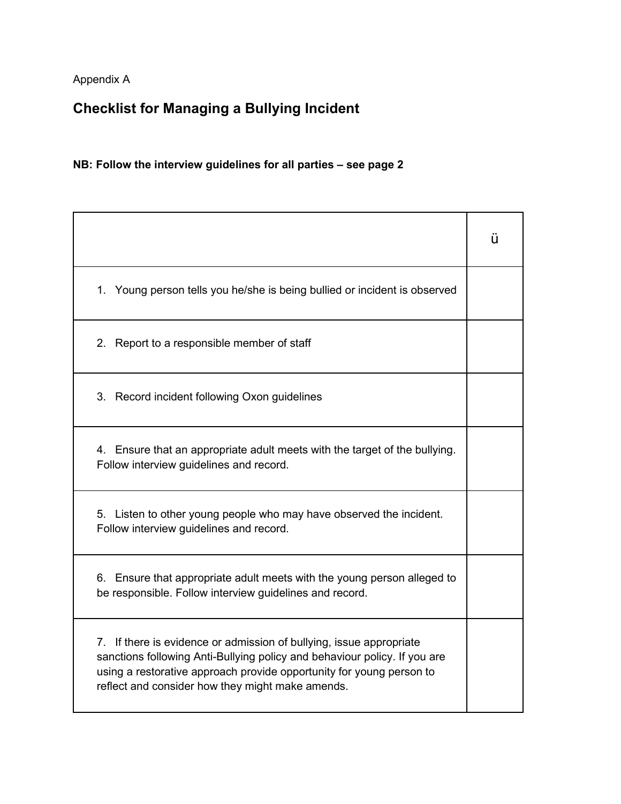Appendix A

# **Checklist for Managing a Bullying Incident**

## **NB: Follow the interview guidelines for all parties – see page 2**

|                                                                                                                                                                                                                                                                              | ü |
|------------------------------------------------------------------------------------------------------------------------------------------------------------------------------------------------------------------------------------------------------------------------------|---|
| 1. Young person tells you he/she is being bullied or incident is observed                                                                                                                                                                                                    |   |
| 2. Report to a responsible member of staff                                                                                                                                                                                                                                   |   |
| 3. Record incident following Oxon guidelines                                                                                                                                                                                                                                 |   |
| 4. Ensure that an appropriate adult meets with the target of the bullying.<br>Follow interview guidelines and record.                                                                                                                                                        |   |
| 5. Listen to other young people who may have observed the incident.<br>Follow interview guidelines and record.                                                                                                                                                               |   |
| 6. Ensure that appropriate adult meets with the young person alleged to<br>be responsible. Follow interview guidelines and record.                                                                                                                                           |   |
| 7. If there is evidence or admission of bullying, issue appropriate<br>sanctions following Anti-Bullying policy and behaviour policy. If you are<br>using a restorative approach provide opportunity for young person to<br>reflect and consider how they might make amends. |   |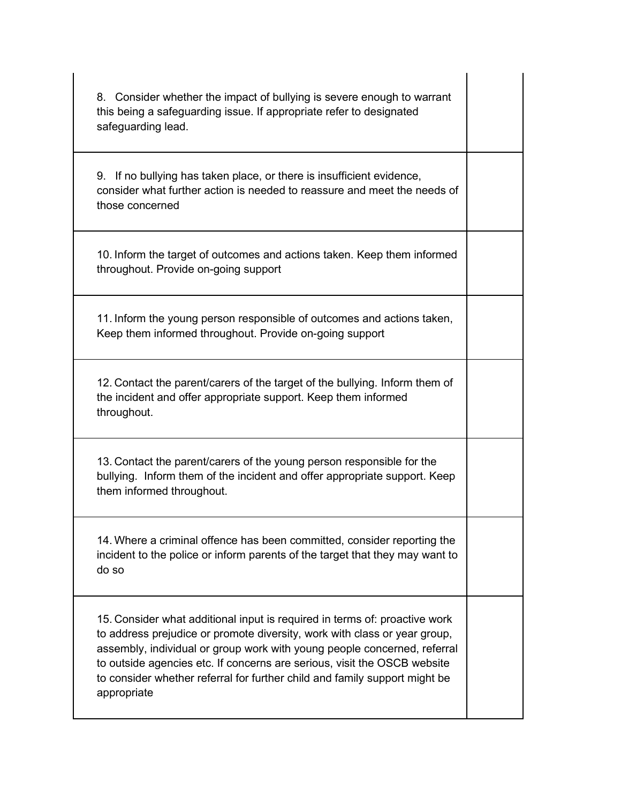| 8. Consider whether the impact of bullying is severe enough to warrant<br>this being a safeguarding issue. If appropriate refer to designated<br>safeguarding lead.                                                                                                                                                                                                                                          |  |
|--------------------------------------------------------------------------------------------------------------------------------------------------------------------------------------------------------------------------------------------------------------------------------------------------------------------------------------------------------------------------------------------------------------|--|
| 9. If no bullying has taken place, or there is insufficient evidence,<br>consider what further action is needed to reassure and meet the needs of<br>those concerned                                                                                                                                                                                                                                         |  |
| 10. Inform the target of outcomes and actions taken. Keep them informed<br>throughout. Provide on-going support                                                                                                                                                                                                                                                                                              |  |
| 11. Inform the young person responsible of outcomes and actions taken,<br>Keep them informed throughout. Provide on-going support                                                                                                                                                                                                                                                                            |  |
| 12. Contact the parent/carers of the target of the bullying. Inform them of<br>the incident and offer appropriate support. Keep them informed<br>throughout.                                                                                                                                                                                                                                                 |  |
| 13. Contact the parent/carers of the young person responsible for the<br>bullying. Inform them of the incident and offer appropriate support. Keep<br>them informed throughout.                                                                                                                                                                                                                              |  |
| 14. Where a criminal offence has been committed, consider reporting the<br>incident to the police or inform parents of the target that they may want to<br>do so                                                                                                                                                                                                                                             |  |
| 15. Consider what additional input is required in terms of: proactive work<br>to address prejudice or promote diversity, work with class or year group,<br>assembly, individual or group work with young people concerned, referral<br>to outside agencies etc. If concerns are serious, visit the OSCB website<br>to consider whether referral for further child and family support might be<br>appropriate |  |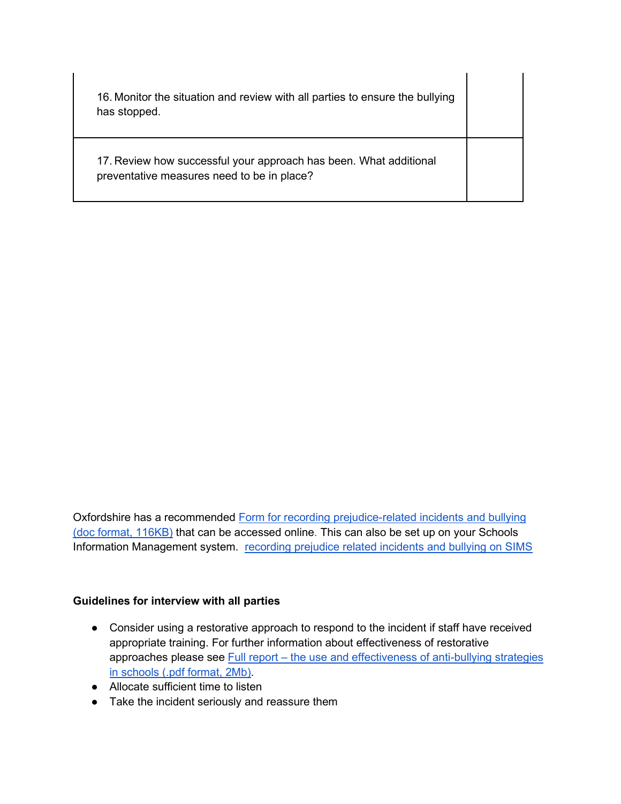| 16. Monitor the situation and review with all parties to ensure the bullying<br>has stopped.                    |  |
|-----------------------------------------------------------------------------------------------------------------|--|
| 17. Review how successful your approach has been. What additional<br>preventative measures need to be in place? |  |

Oxfordshire has a recommende[d](http://schools.oxfordshire.gov.uk/cms/sites/schools/files/folders/folders/documents/antibullying/policies/Recordingprejudicerelatedincidentorbullyingform.doc) [Form for recording prejudice-related incidents and bullying](http://schools.oxfordshire.gov.uk/cms/sites/schools/files/folders/folders/documents/antibullying/policies/Recordingprejudicerelatedincidentorbullyingform.doc)  [\(doc format, 116KB\)](http://schools.oxfordshire.gov.uk/cms/sites/schools/files/folders/folders/documents/antibullying/policies/Recordingprejudicerelatedincidentorbullyingform.doc) that can be accessed online. This can also be set up on your Schools Information Management system. [recording prejudice related incidents and bullying on SIMS](http://schools.oxfordshire.gov.uk/cms/sites/schools/files/folders/folders/documents/antibullying/policies/recordingprejudice.docx)

#### **Guidelines for interview with all parties**

- Consider using a restorative approach to respond to the incident if staff have received appropriate training. For further information about effectiveness of restorative approach[e](https://www.education.gov.uk/publications/eOrderingDownload/DFE-RR098.pdf)s please see Full report – the use and effectiveness of anti-bullying strategies [in schools \(.pdf format, 2Mb\).](https://www.education.gov.uk/publications/eOrderingDownload/DFE-RR098.pdf)
- Allocate sufficient time to listen
- Take the incident seriously and reassure them